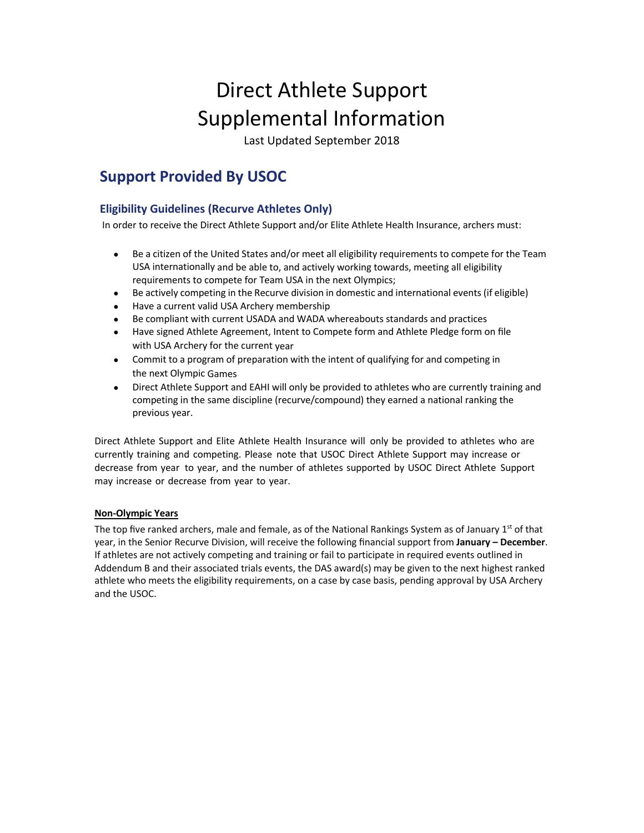# Direct Athlete Support Supplemental Information

Last Updated September 2018

# **Support Provided By USOC**

## **Eligibility Guidelines (Recurve Athletes Only)**

In order to receive the Direct Athlete Support and/or Elite Athlete Health Insurance, archers must:

- Be a citizen of the United States and/or meet all eligibility requirements to compete for the Team USA internationally and be able to, and actively working towards, meeting all eligibility requirements to compete for Team USA in the next Olympics;
- Be actively competing in the Recurve division in domestic and international events (if eligible)
- Have a current valid USA Archery membership
- Be compliant with current USADA and WADA whereabouts standards and practices
- Have signed Athlete Agreement, Intent to Compete form and Athlete Pledge form on file with USA Archery for the current year
- Commit to a program of preparation with the intent of qualifying for and competing in the next Olympic Games
- Direct Athlete Support and EAHI will only be provided to athletes who are currently training and competing in the same discipline (recurve/compound) they earned a national ranking the previous year.

Direct Athlete Support and Elite Athlete Health Insurance will only be provided to athletes who are currently training and competing. Please note that USOC Direct Athlete Support may increase or decrease from year to year, and the number of athletes supported by USOC Direct Athlete Support may increase or decrease from year to year.

### **Non-Olympic Years**

The top five ranked archers, male and female, as of the National Rankings System as of January 1st of that year, in the Senior Recurve Division, will receive the following financial support from **January – December**. If athletes are not actively competing and training or fail to participate in required events outlined in Addendum B and their associated trials events, the DAS award(s) may be given to the next highest ranked athlete who meets the eligibility requirements, on a case by case basis, pending approval by USA Archery and the USOC.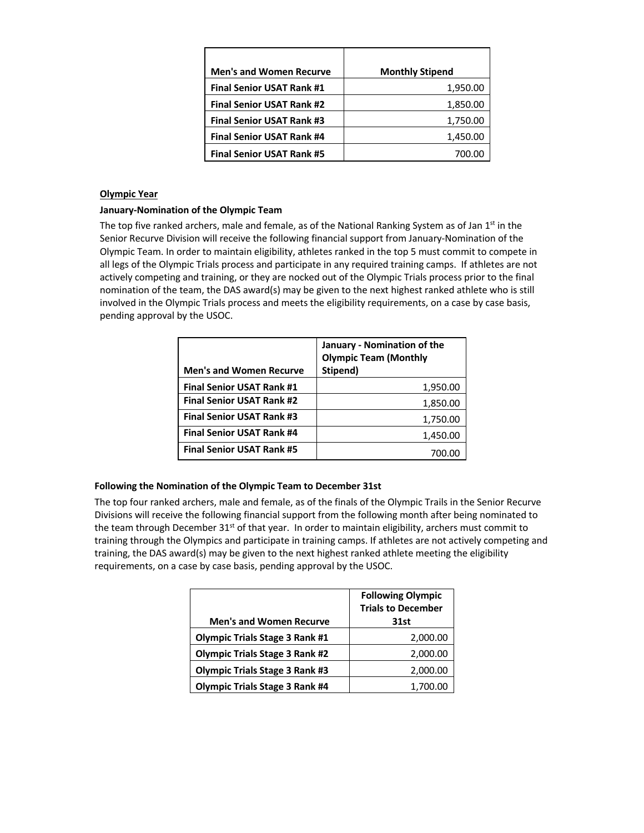| <b>Men's and Women Recurve</b>   | <b>Monthly Stipend</b> |
|----------------------------------|------------------------|
| <b>Final Senior USAT Rank #1</b> | 1,950.00               |
| <b>Final Senior USAT Rank #2</b> | 1,850.00               |
| <b>Final Senior USAT Rank #3</b> | 1,750.00               |
| <b>Final Senior USAT Rank #4</b> | 1,450.00               |
| <b>Final Senior USAT Rank #5</b> | 700.OC                 |

### **Olympic Year**

### **January-Nomination of the Olympic Team**

The top five ranked archers, male and female, as of the National Ranking System as of Jan 1<sup>st</sup> in the Senior Recurve Division will receive the following financial support from January-Nomination of the Olympic Team. In order to maintain eligibility, athletes ranked in the top 5 must commit to compete in all legs of the Olympic Trials process and participate in any required training camps. If athletes are not actively competing and training, or they are nocked out of the Olympic Trials process prior to the final nomination of the team, the DAS award(s) may be given to the next highest ranked athlete who is still involved in the Olympic Trials process and meets the eligibility requirements, on a case by case basis, pending approval by the USOC.

| <b>Men's and Women Recurve</b>   | January - Nomination of the<br><b>Olympic Team (Monthly</b><br>Stipend) |  |
|----------------------------------|-------------------------------------------------------------------------|--|
| <b>Final Senior USAT Rank #1</b> | 1,950.00                                                                |  |
| <b>Final Senior USAT Rank #2</b> | 1,850.00                                                                |  |
| <b>Final Senior USAT Rank #3</b> | 1,750.00                                                                |  |
| <b>Final Senior USAT Rank #4</b> | 1,450.00                                                                |  |
| <b>Final Senior USAT Rank #5</b> | 700.00                                                                  |  |

### **Following the Nomination of the Olympic Team to December 31st**

The top four ranked archers, male and female, as of the finals of the Olympic Trails in the Senior Recurve Divisions will receive the following financial support from the following month after being nominated to the team through December  $31<sup>st</sup>$  of that year. In order to maintain eligibility, archers must commit to training through the Olympics and participate in training camps. If athletes are not actively competing and training, the DAS award(s) may be given to the next highest ranked athlete meeting the eligibility requirements, on a case by case basis, pending approval by the USOC.

| <b>Men's and Women Recurve</b>        | <b>Following Olympic</b><br><b>Trials to December</b><br>31st |
|---------------------------------------|---------------------------------------------------------------|
| <b>Olympic Trials Stage 3 Rank #1</b> | 2,000.00                                                      |
| <b>Olympic Trials Stage 3 Rank #2</b> | 2,000.00                                                      |
| <b>Olympic Trials Stage 3 Rank #3</b> | 2,000.00                                                      |
| <b>Olympic Trials Stage 3 Rank #4</b> | 1,700.00                                                      |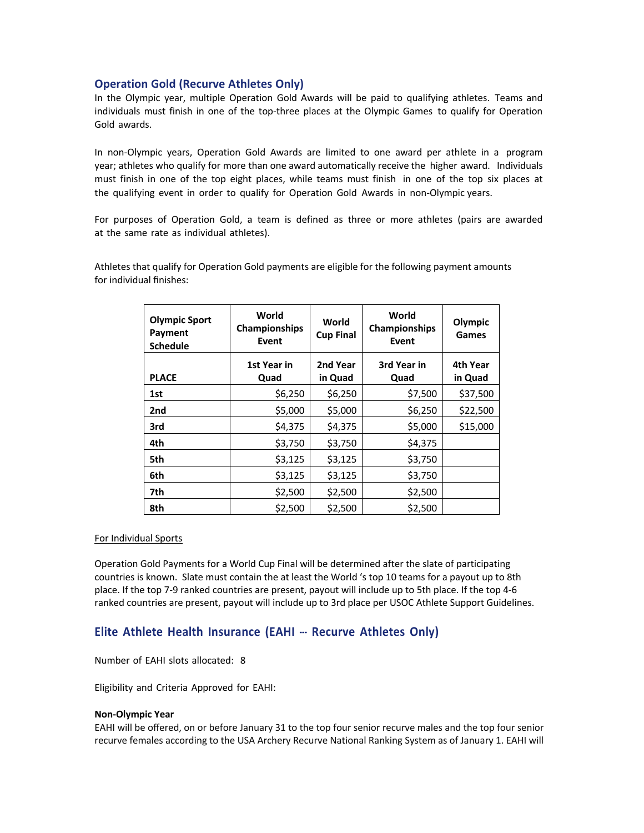### **Operation Gold (Recurve Athletes Only)**

In the Olympic year, multiple Operation Gold Awards will be paid to qualifying athletes. Teams and individuals must finish in one of the top-three places at the Olympic Games to qualify for Operation Gold awards.

In non-Olympic years, Operation Gold Awards are limited to one award per athlete in a program year; athletes who qualify for more than one award automatically receive the higher award. Individuals must finish in one of the top eight places, while teams must finish in one of the top six places at the qualifying event in order to qualify for Operation Gold Awards in non-Olympic years.

For purposes of Operation Gold, a team is defined as three or more athletes (pairs are awarded at the same rate as individual athletes).

| <b>Olympic Sport</b><br>Payment<br><b>Schedule</b> | World<br>Championships<br>Event | World<br><b>Cup Final</b> | World<br><b>Championships</b><br>Event | Olympic<br>Games    |
|----------------------------------------------------|---------------------------------|---------------------------|----------------------------------------|---------------------|
| <b>PLACE</b>                                       | 1st Year in<br>Quad             | 2nd Year<br>in Quad       | 3rd Year in<br>Quad                    | 4th Year<br>in Quad |
| 1st                                                | \$6,250                         | \$6,250                   | \$7,500                                | \$37,500            |
| 2nd                                                | \$5,000                         | \$5,000                   | \$6,250                                | \$22,500            |
| 3rd                                                | \$4,375                         | \$4,375                   | \$5,000                                | \$15,000            |
| 4th                                                | \$3,750                         | \$3,750                   | \$4,375                                |                     |
| 5th                                                | \$3,125                         | \$3,125                   | \$3,750                                |                     |
| 6th                                                | \$3,125                         | \$3,125                   | \$3,750                                |                     |
| 7th                                                | \$2,500                         | \$2,500                   | \$2,500                                |                     |
| 8th                                                | \$2,500                         | \$2,500                   | \$2,500                                |                     |

Athletes that qualify for Operation Gold payments are eligible for the following payment amounts for individual finishes:

#### For Individual Sports

Operation Gold Payments for a World Cup Final will be determined after the slate of participating countries is known. Slate must contain the at least the World 's top 10 teams for a payout up to 8th place. If the top 7-9 ranked countries are present, payout will include up to 5th place. If the top 4-6 ranked countries are present, payout will include up to 3rd place per USOC Athlete Support Guidelines.

### **Elite Athlete Health Insurance (EAHI --- Recurve Athletes Only)**

Number of EAHI slots allocated: 8

Eligibility and Criteria Approved for EAHI:

#### **Non-Olympic Year**

EAHI will be offered, on or before January 31 to the top four senior recurve males and the top four senior recurve females according to the USA Archery Recurve National Ranking System as of January 1. EAHI will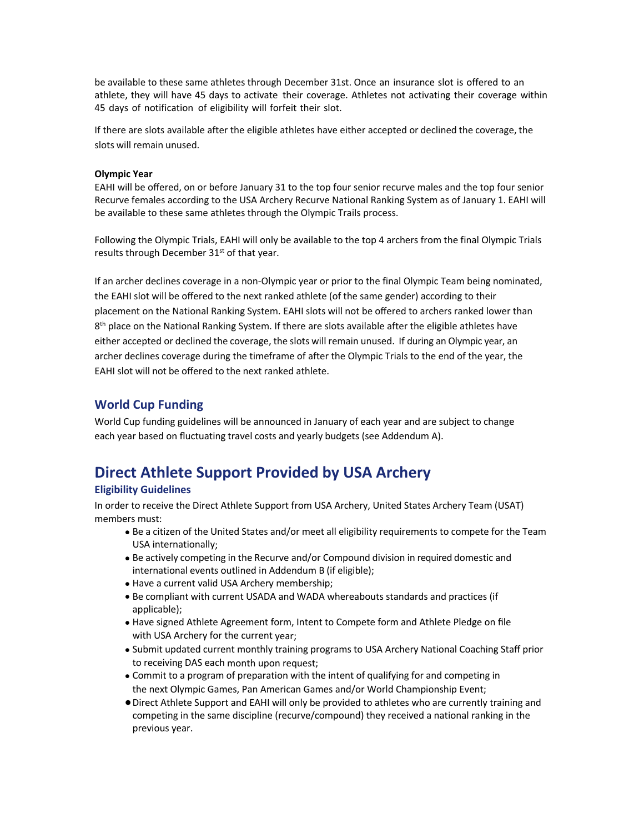be available to these same athletes through December 31st. Once an insurance slot is offered to an athlete, they will have 45 days to activate their coverage. Athletes not activating their coverage within 45 days of notification of eligibility will forfeit their slot.

If there are slots available after the eligible athletes have either accepted or declined the coverage, the slots will remain unused.

### **Olympic Year**

EAHI will be offered, on or before January 31 to the top four senior recurve males and the top four senior Recurve females according to the USA Archery Recurve National Ranking System as of January 1. EAHI will be available to these same athletes through the Olympic Trails process.

Following the Olympic Trials, EAHI will only be available to the top 4 archers from the final Olympic Trials results through December 31<sup>st</sup> of that year.

If an archer declines coverage in a non-Olympic year or prior to the final Olympic Team being nominated, the EAHI slot will be offered to the next ranked athlete (of the same gender) according to their placement on the National Ranking System. EAHI slots will not be offered to archers ranked lower than  $8<sup>th</sup>$  place on the National Ranking System. If there are slots available after the eligible athletes have either accepted or declined the coverage, the slots will remain unused. If during an Olympic year, an archer declines coverage during the timeframe of after the Olympic Trials to the end of the year, the EAHI slot will not be offered to the next ranked athlete.

### **World Cup Funding**

World Cup funding guidelines will be announced in January of each year and are subject to change each year based on fluctuating travel costs and yearly budgets (see Addendum A).

# **Direct Athlete Support Provided by USA Archery**

### **Eligibility Guidelines**

In order to receive the Direct Athlete Support from USA Archery, United States Archery Team (USAT) members must:

- Be a citizen of the United States and/or meet all eligibility requirements to compete for the Team USA internationally;
- Be actively competing in the Recurve and/or Compound division in required domestic and international events outlined in Addendum B (if eligible);
- Have a current valid USA Archery membership;
- Be compliant with current USADA and WADA whereabouts standards and practices (if applicable);
- Have signed Athlete Agreement form, Intent to Compete form and Athlete Pledge on file with USA Archery for the current year;
- Submit updated current monthly training programs to USA Archery National Coaching Staff prior to receiving DAS each month upon request;
- Commit to a program of preparation with the intent of qualifying for and competing in the next Olympic Games, Pan American Games and/or World Championship Event;
- •Direct Athlete Support and EAHI will only be provided to athletes who are currently training and competing in the same discipline (recurve/compound) they received a national ranking in the previous year.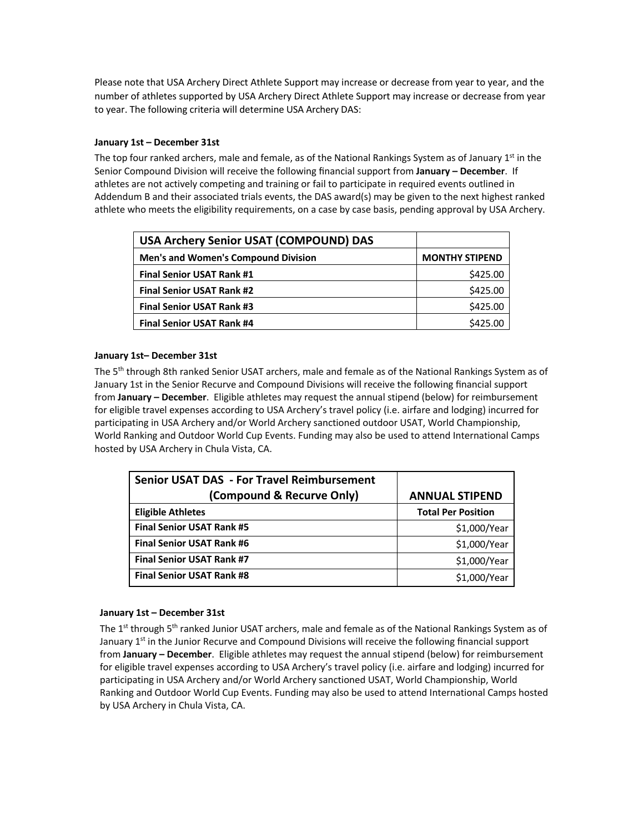Please note that USA Archery Direct Athlete Support may increase or decrease from year to year, and the number of athletes supported by USA Archery Direct Athlete Support may increase or decrease from year to year. The following criteria will determine USA Archery DAS:

### **January 1st – December 31st**

The top four ranked archers, male and female, as of the National Rankings System as of January  $1<sup>st</sup>$  in the Senior Compound Division will receive the following financial support from **January – December**. If athletes are not actively competing and training or fail to participate in required events outlined in Addendum B and their associated trials events, the DAS award(s) may be given to the next highest ranked athlete who meets the eligibility requirements, on a case by case basis, pending approval by USA Archery.

| <b>USA Archery Senior USAT (COMPOUND) DAS</b> |                       |
|-----------------------------------------------|-----------------------|
| <b>Men's and Women's Compound Division</b>    | <b>MONTHY STIPEND</b> |
| <b>Final Senior USAT Rank #1</b>              | \$425.00              |
| <b>Final Senior USAT Rank #2</b>              | \$425.00              |
| <b>Final Senior USAT Rank #3</b>              | \$425.00              |
| <b>Final Senior USAT Rank #4</b>              | \$425.00              |

### **January 1st– December 31st**

The 5<sup>th</sup> through 8th ranked Senior USAT archers, male and female as of the National Rankings System as of January 1st in the Senior Recurve and Compound Divisions will receive the following financial support from **January – December**. Eligible athletes may request the annual stipend (below) for reimbursement for eligible travel expenses according to USA Archery's travel policy (i.e. airfare and lodging) incurred for participating in USA Archery and/or World Archery sanctioned outdoor USAT, World Championship, World Ranking and Outdoor World Cup Events. Funding may also be used to attend International Camps hosted by USA Archery in Chula Vista, CA.

| <b>Senior USAT DAS - For Travel Reimbursement</b> |                           |
|---------------------------------------------------|---------------------------|
| (Compound & Recurve Only)                         | <b>ANNUAL STIPEND</b>     |
| <b>Eligible Athletes</b>                          | <b>Total Per Position</b> |
| <b>Final Senior USAT Rank #5</b>                  | \$1,000/Year              |
| <b>Final Senior USAT Rank #6</b>                  | \$1,000/Year              |
| <b>Final Senior USAT Rank #7</b>                  | \$1,000/Year              |
| <b>Final Senior USAT Rank #8</b>                  | \$1,000/Year              |

#### **January 1st – December 31st**

The 1<sup>st</sup> through 5<sup>th</sup> ranked Junior USAT archers, male and female as of the National Rankings System as of January 1<sup>st</sup> in the Junior Recurve and Compound Divisions will receive the following financial support from **January – December**. Eligible athletes may request the annual stipend (below) for reimbursement for eligible travel expenses according to USA Archery's travel policy (i.e. airfare and lodging) incurred for participating in USA Archery and/or World Archery sanctioned USAT, World Championship, World Ranking and Outdoor World Cup Events. Funding may also be used to attend International Camps hosted by USA Archery in Chula Vista, CA.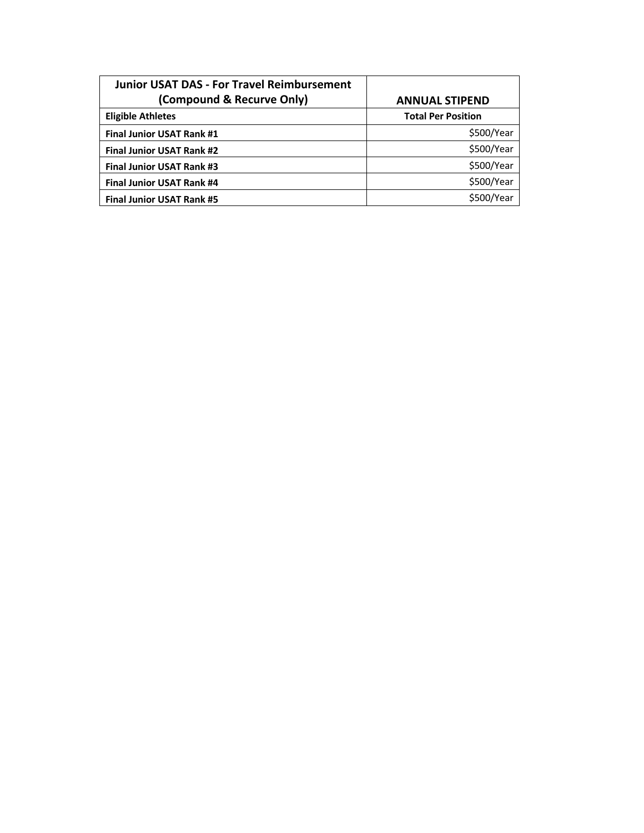| <b>Junior USAT DAS - For Travel Reimbursement</b> |                           |
|---------------------------------------------------|---------------------------|
| (Compound & Recurve Only)                         | <b>ANNUAL STIPEND</b>     |
| <b>Eligible Athletes</b>                          | <b>Total Per Position</b> |
| <b>Final Junior USAT Rank #1</b>                  | \$500/Year                |
| <b>Final Junior USAT Rank #2</b>                  | \$500/Year                |
| <b>Final Junior USAT Rank #3</b>                  | \$500/Year                |
| <b>Final Junior USAT Rank #4</b>                  | \$500/Year                |
| <b>Final Junior USAT Rank #5</b>                  | \$500/Year                |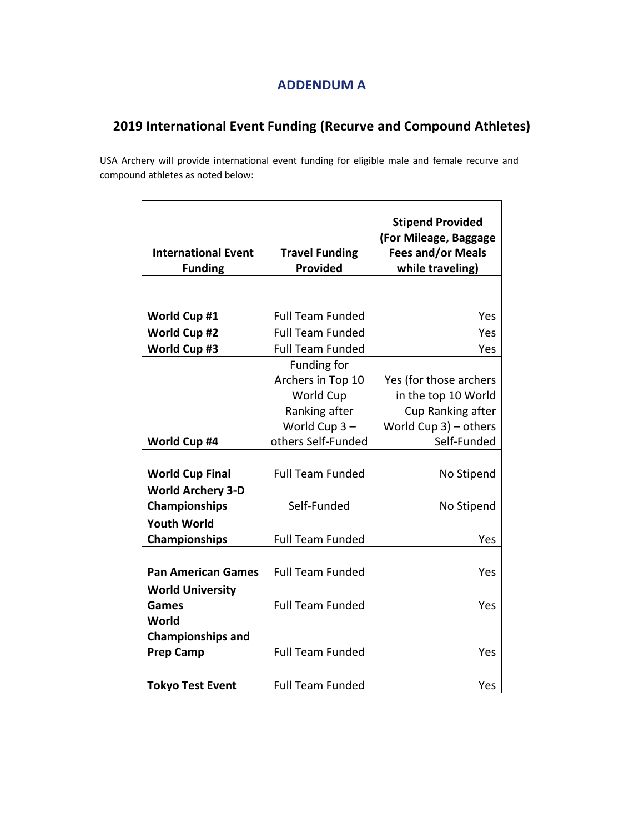# **ADDENDUM A**

# **2019 International Event Funding (Recurve and Compound Athletes)**

USA Archery will provide international event funding for eligible male and female recurve and compound athletes as noted below:

| <b>International Event</b><br><b>Funding</b> | <b>Travel Funding</b><br><b>Provided</b> | <b>Stipend Provided</b><br>(For Mileage, Baggage<br><b>Fees and/or Meals</b><br>while traveling) |
|----------------------------------------------|------------------------------------------|--------------------------------------------------------------------------------------------------|
|                                              |                                          |                                                                                                  |
| World Cup #1                                 | <b>Full Team Funded</b>                  | Yes                                                                                              |
| World Cup #2                                 | <b>Full Team Funded</b>                  | Yes                                                                                              |
| World Cup #3                                 | <b>Full Team Funded</b>                  | Yes                                                                                              |
|                                              | Funding for                              |                                                                                                  |
|                                              | Archers in Top 10                        | Yes (for those archers                                                                           |
|                                              | World Cup                                | in the top 10 World                                                                              |
|                                              | Ranking after                            | Cup Ranking after                                                                                |
|                                              | World Cup $3-$                           | World Cup $3$ ) – others                                                                         |
| World Cup #4                                 | others Self-Funded                       | Self-Funded                                                                                      |
|                                              |                                          |                                                                                                  |
| <b>World Cup Final</b>                       | <b>Full Team Funded</b>                  | No Stipend                                                                                       |
| <b>World Archery 3-D</b>                     |                                          |                                                                                                  |
| <b>Championships</b>                         | Self-Funded                              | No Stipend                                                                                       |
| <b>Youth World</b>                           |                                          |                                                                                                  |
| Championships                                | <b>Full Team Funded</b>                  | Yes                                                                                              |
|                                              |                                          |                                                                                                  |
| <b>Pan American Games</b>                    | <b>Full Team Funded</b>                  | Yes                                                                                              |
| <b>World University</b>                      |                                          |                                                                                                  |
| Games                                        | Full Team Funded                         | Yes                                                                                              |
| World                                        |                                          |                                                                                                  |
| <b>Championships and</b>                     |                                          |                                                                                                  |
| <b>Prep Camp</b>                             | <b>Full Team Funded</b>                  | Yes                                                                                              |
|                                              |                                          |                                                                                                  |
| <b>Tokyo Test Event</b>                      | <b>Full Team Funded</b>                  | Yes                                                                                              |